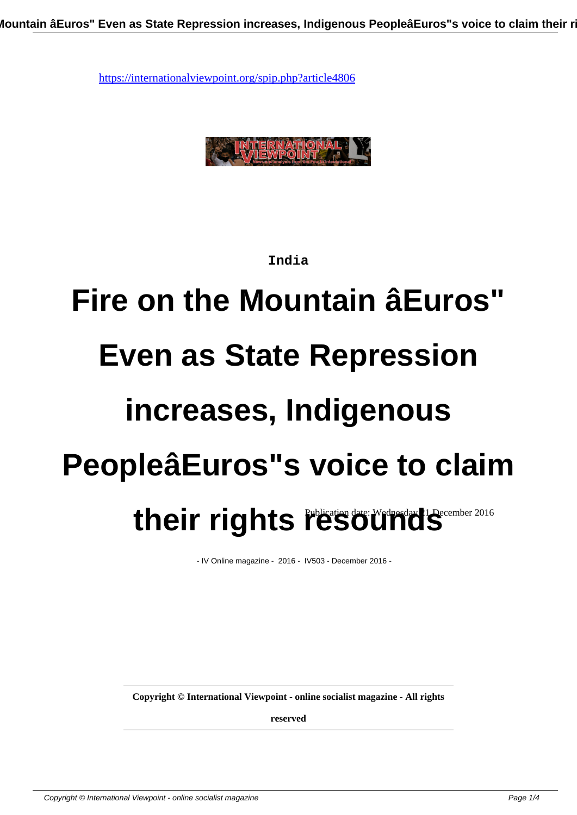

#### **India**

# **Fire on the Mountain âEuros" Even as State Repression increases, Indigenous PeopleâEuros"s voice to claim** their rights resounds

- IV Online magazine - 2016 - IV503 - December 2016 -

**Copyright © International Viewpoint - online socialist magazine - All rights**

**reserved**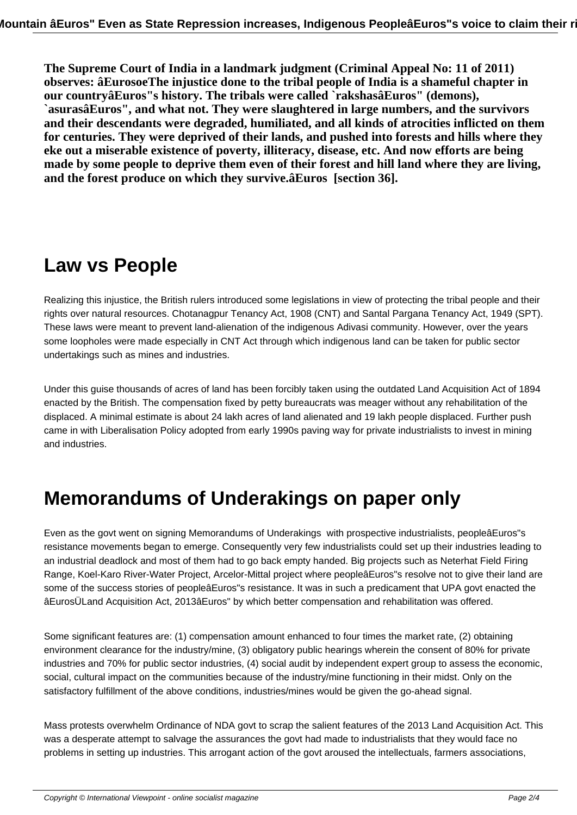**The Supreme Court of India in a landmark judgment (Criminal Appeal No: 11 of 2011) observes: âEurosoeThe injustice done to the tribal people of India is a shameful chapter in our countryâEuros"s history. The tribals were called `rakshasâEuros" (demons), `asurasâEuros", and what not. They were slaughtered in large numbers, and the survivors and their descendants were degraded, humiliated, and all kinds of atrocities inflicted on them for centuries. They were deprived of their lands, and pushed into forests and hills where they eke out a miserable existence of poverty, illiteracy, disease, etc. And now efforts are being made by some people to deprive them even of their forest and hill land where they are living, and the forest produce on which they survive.âEuros [section 36].**

## **Law vs People**

Realizing this injustice, the British rulers introduced some legislations in view of protecting the tribal people and their rights over natural resources. Chotanagpur Tenancy Act, 1908 (CNT) and Santal Pargana Tenancy Act, 1949 (SPT). These laws were meant to prevent land-alienation of the indigenous Adivasi community. However, over the years some loopholes were made especially in CNT Act through which indigenous land can be taken for public sector undertakings such as mines and industries.

Under this guise thousands of acres of land has been forcibly taken using the outdated Land Acquisition Act of 1894 enacted by the British. The compensation fixed by petty bureaucrats was meager without any rehabilitation of the displaced. A minimal estimate is about 24 lakh acres of land alienated and 19 lakh people displaced. Further push came in with Liberalisation Policy adopted from early 1990s paving way for private industrialists to invest in mining and industries.

### **Memorandums of Underakings on paper only**

Even as the govt went on signing Memorandums of Underakings with prospective industrialists, peopleâEuros"s resistance movements began to emerge. Consequently very few industrialists could set up their industries leading to an industrial deadlock and most of them had to go back empty handed. Big projects such as Neterhat Field Firing Range, Koel-Karo River-Water Project, Arcelor-Mittal project where peopleâEuros"s resolve not to give their land are some of the success stories of peopleâEuros"s resistance. It was in such a predicament that UPA govt enacted the âEurosÜLand Acquisition Act, 2013âEuros" by which better compensation and rehabilitation was offered.

Some significant features are: (1) compensation amount enhanced to four times the market rate, (2) obtaining environment clearance for the industry/mine, (3) obligatory public hearings wherein the consent of 80% for private industries and 70% for public sector industries, (4) social audit by independent expert group to assess the economic, social, cultural impact on the communities because of the industry/mine functioning in their midst. Only on the satisfactory fulfillment of the above conditions, industries/mines would be given the go-ahead signal.

Mass protests overwhelm Ordinance of NDA govt to scrap the salient features of the 2013 Land Acquisition Act. This was a desperate attempt to salvage the assurances the govt had made to industrialists that they would face no problems in setting up industries. This arrogant action of the govt aroused the intellectuals, farmers associations,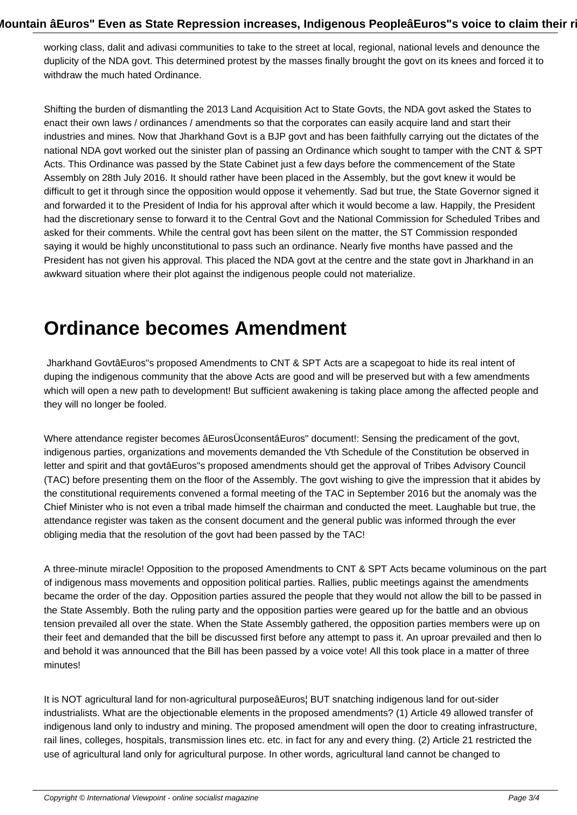working class, dalit and adivasi communities to take to the street at local, regional, national levels and denounce the duplicity of the NDA govt. This determined protest by the masses finally brought the govt on its knees and forced it to withdraw the much hated Ordinance.

Shifting the burden of dismantling the 2013 Land Acquisition Act to State Govts, the NDA govt asked the States to enact their own laws / ordinances / amendments so that the corporates can easily acquire land and start their industries and mines. Now that Jharkhand Govt is a BJP govt and has been faithfully carrying out the dictates of the national NDA govt worked out the sinister plan of passing an Ordinance which sought to tamper with the CNT & SPT Acts. This Ordinance was passed by the State Cabinet just a few days before the commencement of the State Assembly on 28th July 2016. It should rather have been placed in the Assembly, but the govt knew it would be difficult to get it through since the opposition would oppose it vehemently. Sad but true, the State Governor signed it and forwarded it to the President of India for his approval after which it would become a law. Happily, the President had the discretionary sense to forward it to the Central Govt and the National Commission for Scheduled Tribes and asked for their comments. While the central govt has been silent on the matter, the ST Commission responded saying it would be highly unconstitutional to pass such an ordinance. Nearly five months have passed and the President has not given his approval. This placed the NDA govt at the centre and the state govt in Jharkhand in an awkward situation where their plot against the indigenous people could not materialize.

#### **Ordinance becomes Amendment**

 Jharkhand GovtâEuros"s proposed Amendments to CNT & SPT Acts are a scapegoat to hide its real intent of duping the indigenous community that the above Acts are good and will be preserved but with a few amendments which will open a new path to development! But sufficient awakening is taking place among the affected people and they will no longer be fooled.

Where attendance register becomes âEurosÜconsentâEuros" document!: Sensing the predicament of the govt, indigenous parties, organizations and movements demanded the Vth Schedule of the Constitution be observed in letter and spirit and that govtâEuros"s proposed amendments should get the approval of Tribes Advisory Council (TAC) before presenting them on the floor of the Assembly. The govt wishing to give the impression that it abides by the constitutional requirements convened a formal meeting of the TAC in September 2016 but the anomaly was the Chief Minister who is not even a tribal made himself the chairman and conducted the meet. Laughable but true, the attendance register was taken as the consent document and the general public was informed through the ever obliging media that the resolution of the govt had been passed by the TAC!

A three-minute miracle! Opposition to the proposed Amendments to CNT & SPT Acts became voluminous on the part of indigenous mass movements and opposition political parties. Rallies, public meetings against the amendments became the order of the day. Opposition parties assured the people that they would not allow the bill to be passed in the State Assembly. Both the ruling party and the opposition parties were geared up for the battle and an obvious tension prevailed all over the state. When the State Assembly gathered, the opposition parties members were up on their feet and demanded that the bill be discussed first before any attempt to pass it. An uproar prevailed and then lo and behold it was announced that the Bill has been passed by a voice vote! All this took place in a matter of three minutes!

It is NOT agricultural land for non-agricultural purposeâEuros¦ BUT snatching indigenous land for out-sider industrialists. What are the objectionable elements in the proposed amendments? (1) Article 49 allowed transfer of indigenous land only to industry and mining. The proposed amendment will open the door to creating infrastructure, rail lines, colleges, hospitals, transmission lines etc. etc. in fact for any and every thing. (2) Article 21 restricted the use of agricultural land only for agricultural purpose. In other words, agricultural land cannot be changed to